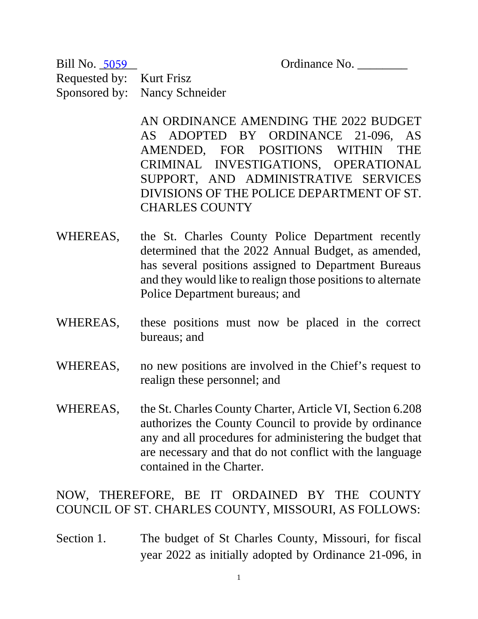Ordinance No.

Requested by: Kurt Frisz Sponsored by: Nancy Schneider Bill No. 5059

> AN ORDINANCE AMENDING THE 2022 BUDGET AS ADOPTED BY ORDINANCE 21-096, AS AMENDED, FOR POSITIONS WITHIN THE CRIMINAL INVESTIGATIONS, OPERATIONAL SUPPORT, AND ADMINISTRATIVE SERVICES DIVISIONS OF THE POLICE DEPARTMENT OF ST. CHARLES COUNTY

- WHEREAS, the St. Charles County Police Department recently determined that the 2022 Annual Budget, as amended, has several positions assigned to Department Bureaus and they would like to realign those positions to alternate Police Department bureaus; and
- WHEREAS, these positions must now be placed in the correct bureaus; and

WHEREAS, no new positions are involved in the Chief's request to realign these personnel; and

WHEREAS, the St. Charles County Charter, Article VI, Section 6.208 authorizes the County Council to provide by ordinance any and all procedures for administering the budget that are necessary and that do not conflict with the language contained in the Charter.

NOW, THEREFORE, BE IT ORDAINED BY THE COUNTY COUNCIL OF ST. CHARLES COUNTY, MISSOURI, AS FOLLOWS:

Section 1. The budget of St Charles County, Missouri, for fiscal year 2022 as initially adopted by Ordinance 21-096, in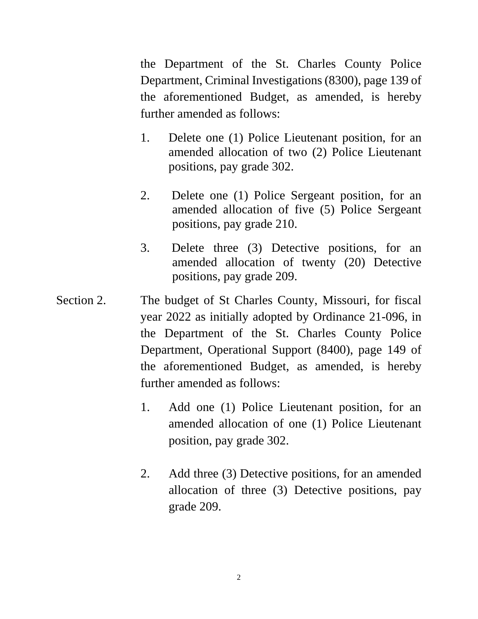the Department of the St. Charles County Police Department, Criminal Investigations (8300), page 139 of the aforementioned Budget, as amended, is hereby further amended as follows:

- 1. Delete one (1) Police Lieutenant position, for an amended allocation of two (2) Police Lieutenant positions, pay grade 302.
- 2. Delete one (1) Police Sergeant position, for an amended allocation of five (5) Police Sergeant positions, pay grade 210.
- 3. Delete three (3) Detective positions, for an amended allocation of twenty (20) Detective positions, pay grade 209.
- Section 2. The budget of St Charles County, Missouri, for fiscal year 2022 as initially adopted by Ordinance 21-096, in the Department of the St. Charles County Police Department, Operational Support (8400), page 149 of the aforementioned Budget, as amended, is hereby further amended as follows:
	- 1. Add one (1) Police Lieutenant position, for an amended allocation of one (1) Police Lieutenant position, pay grade 302.
	- 2. Add three (3) Detective positions, for an amended allocation of three (3) Detective positions, pay grade 209.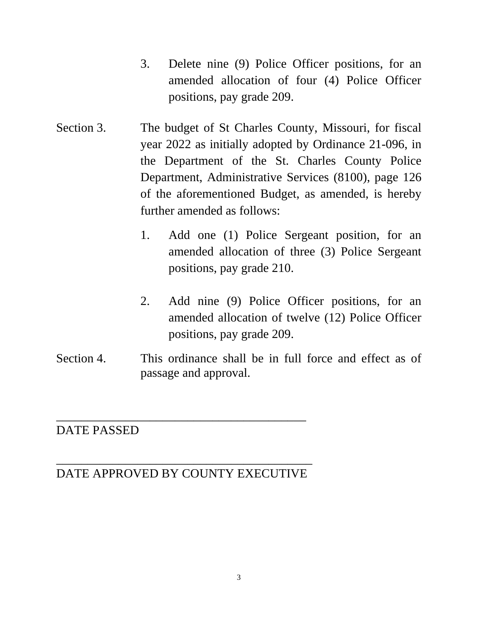- 3. Delete nine (9) Police Officer positions, for an amended allocation of four (4) Police Officer positions, pay grade 209.
- Section 3. The budget of St Charles County, Missouri, for fiscal year 2022 as initially adopted by Ordinance 21-096, in the Department of the St. Charles County Police Department, Administrative Services (8100), page 126 of the aforementioned Budget, as amended, is hereby further amended as follows:
	- 1. Add one (1) Police Sergeant position, for an amended allocation of three (3) Police Sergeant positions, pay grade 210.
	- 2. Add nine (9) Police Officer positions, for an amended allocation of twelve (12) Police Officer positions, pay grade 209.
- Section 4. This ordinance shall be in full force and effect as of passage and approval.

## DATE PASSED

## \_\_\_\_\_\_\_\_\_\_\_\_\_\_\_\_\_\_\_\_\_\_\_\_\_\_\_\_\_\_\_\_\_\_\_\_\_\_\_\_\_ DATE APPROVED BY COUNTY EXECUTIVE

\_\_\_\_\_\_\_\_\_\_\_\_\_\_\_\_\_\_\_\_\_\_\_\_\_\_\_\_\_\_\_\_\_\_\_\_\_\_\_\_